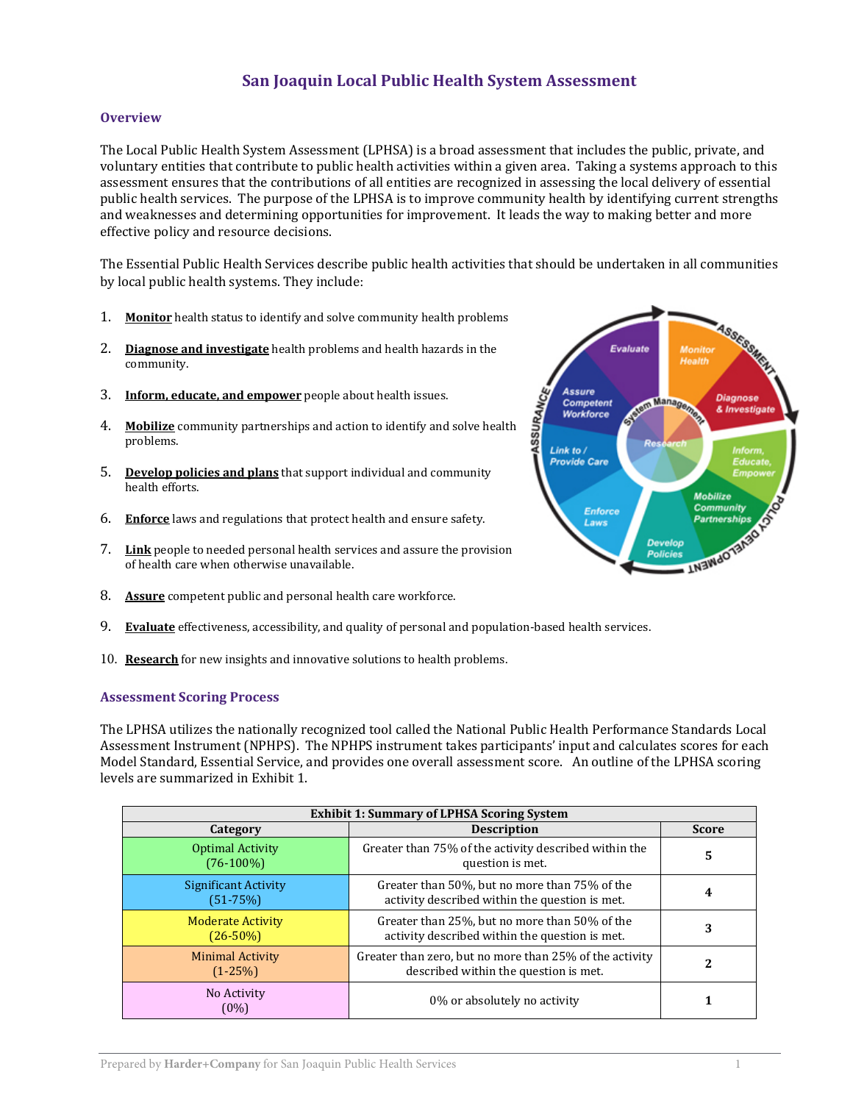# **San Joaquin Local Public Health System Assessment**

### **Overview**

The Local Public Health System Assessment (LPHSA) is a broad assessment that includes the public, private, and voluntary entities that contribute to public health activities within a given area. Taking a systems approach to this assessment ensures that the contributions of all entities are recognized in assessing the local delivery of essential public health services. The purpose of the LPHSA is to improve community health by identifying current strengths and weaknesses and determining opportunities for improvement. It leads the way to making better and more effective policy and resource decisions.

The Essential Public Health Services describe public health activities that should be undertaken in all communities by local public health systems. They include:

- 1. **Monitor** health status to identify and solve community health problems
- 2. **Diagnose and investigate** health problems and health hazards in the community.
- 3. **Inform, educate, and empower** people about health issues.
- 4. **Mobilize** community partnerships and action to identify and solve health problems.
- 5. **Develop policies and plans** that support individual and community health efforts.
- 6. **Enforce** laws and regulations that protect health and ensure safety.
- 7. **Link** people to needed personal health services and assure the provision of health care when otherwise unavailable.
- 8. **Assure** competent public and personal health care workforce.
- 9. **Evaluate** effectiveness, accessibility, and quality of personal and population-based health services.
- 10. **Research** for new insights and innovative solutions to health problems.

#### **Assessment Scoring Process**

The LPHSA utilizes the nationally recognized tool called the National Public Health Performance Standards Local Assessment Instrument (NPHPS). The NPHPS instrument takes participants' input and calculates scores for each Model Standard, Essential Service, and provides one overall assessment score. An outline of the LPHSA scoring levels are summarized in Exhibit 1.

| <b>Exhibit 1: Summary of LPHSA Scoring System</b> |                                                                                                  |              |  |
|---------------------------------------------------|--------------------------------------------------------------------------------------------------|--------------|--|
| Category                                          | <b>Description</b>                                                                               | <b>Score</b> |  |
| <b>Optimal Activity</b><br>$(76-100\%)$           | Greater than 75% of the activity described within the<br>question is met.                        | 5            |  |
| <b>Significant Activity</b><br>$(51 - 75%)$       | Greater than 50%, but no more than 75% of the<br>activity described within the question is met.  |              |  |
| <b>Moderate Activity</b><br>$(26 - 50\%)$         | Greater than 25%, but no more than 50% of the<br>activity described within the question is met.  | 3            |  |
| <b>Minimal Activity</b><br>$(1-25%)$              | Greater than zero, but no more than 25% of the activity<br>described within the question is met. |              |  |
| No Activity<br>(0%)                               | 0% or absolutely no activity                                                                     |              |  |

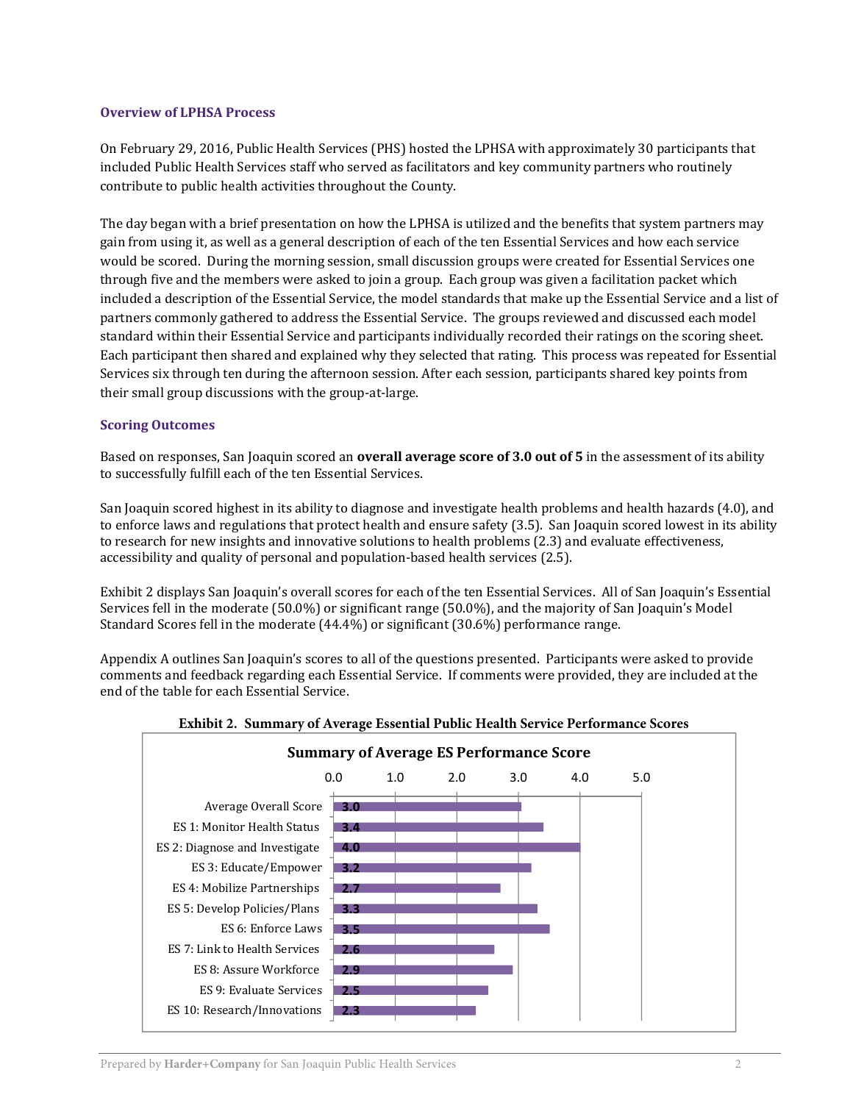### **Overview of LPHSA Process**

On February 29, 2016, Public Health Services (PHS) hosted the LPHSA with approximately 30 participants that included Public Health Services staff who served as facilitators and key community partners who routinely contribute to public health activities throughout the County.

The day began with a brief presentation on how the LPHSA is utilized and the benefits that system partners may gain from using it, as well as a general description of each of the ten Essential Services and how each service would be scored. During the morning session, small discussion groups were created for Essential Services one through five and the members were asked to join a group. Each group was given a facilitation packet which included a description of the Essential Service, the model standards that make up the Essential Service and a list of partners commonly gathered to address the Essential Service. The groups reviewed and discussed each model standard within their Essential Service and participants individually recorded their ratings on the scoring sheet. Each participant then shared and explained why they selected that rating. This process was repeated for Essential Services six through ten during the afternoon session. After each session, participants shared key points from their small group discussions with the group-at-large.

## **Scoring Outcomes**

Based on responses, San Joaquin scored an **overall average score of 3.0 out of 5** in the assessment of its ability to successfully fulfill each of the ten Essential Services.

San Joaquin scored highest in its ability to diagnose and investigate health problems and health hazards (4.0), and to enforce laws and regulations that protect health and ensure safety (3.5). San Joaquin scored lowest in its ability to research for new insights and innovative solutions to health problems (2.3) and evaluate effectiveness, accessibility and quality of personal and population-based health services (2.5).

Exhibit 2 displays San Joaquin's overall scores for each of the ten Essential Services. All of San Joaquin's Essential Services fell in the moderate (50.0%) or significant range (50.0%), and the majority of San Joaquin's Model Standard Scores fell in the moderate (44.4%) or significant (30.6%) performance range.

Appendix A outlines San Joaquin's scores to all of the questions presented. Participants were asked to provide comments and feedback regarding each Essential Service. If comments were provided, they are included at the end of the table for each Essential Service.



### **Exhibit 2. Summary of Average Essential Public Health Service Performance Scores**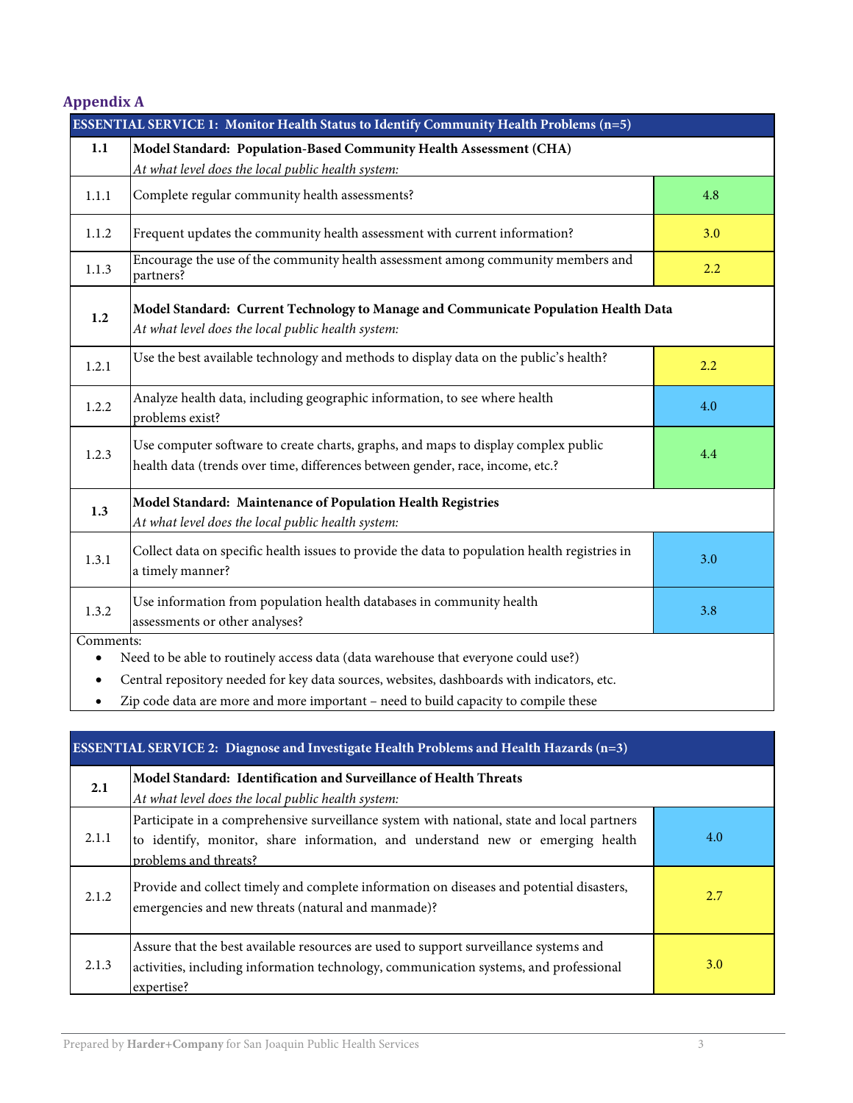| <b>Appendix A</b> |  |  |  |
|-------------------|--|--|--|
|-------------------|--|--|--|

| <b>ESSENTIAL SERVICE 1: Monitor Health Status to Identify Community Health Problems (n=5)</b> |                                                                                                                                                                      |     |
|-----------------------------------------------------------------------------------------------|----------------------------------------------------------------------------------------------------------------------------------------------------------------------|-----|
| 1.1                                                                                           | Model Standard: Population-Based Community Health Assessment (CHA)<br>At what level does the local public health system:                                             |     |
| 1.1.1                                                                                         | Complete regular community health assessments?                                                                                                                       | 4.8 |
| 1.1.2                                                                                         | Frequent updates the community health assessment with current information?                                                                                           | 3.0 |
| 1.1.3                                                                                         | Encourage the use of the community health assessment among community members and<br>partners?                                                                        | 2.2 |
| 1.2                                                                                           | Model Standard: Current Technology to Manage and Communicate Population Health Data<br>At what level does the local public health system:                            |     |
| 1.2.1                                                                                         | Use the best available technology and methods to display data on the public's health?                                                                                | 2.2 |
| 1.2.2                                                                                         | Analyze health data, including geographic information, to see where health<br>problems exist?                                                                        | 4.0 |
| 1.2.3                                                                                         | Use computer software to create charts, graphs, and maps to display complex public<br>health data (trends over time, differences between gender, race, income, etc.? | 4.4 |
| 1.3                                                                                           | Model Standard: Maintenance of Population Health Registries<br>At what level does the local public health system:                                                    |     |
| 1.3.1                                                                                         | Collect data on specific health issues to provide the data to population health registries in<br>a timely manner?                                                    | 3.0 |
| 1.3.2                                                                                         | Use information from population health databases in community health<br>assessments or other analyses?                                                               | 3.8 |
| Comments:                                                                                     |                                                                                                                                                                      |     |
| Need to be able to routinely access data (data warehouse that everyone could use?)            |                                                                                                                                                                      |     |
| ٠                                                                                             | Central repository needed for key data sources, websites, dashboards with indicators, etc.                                                                           |     |

Zip code data are more and more important – need to build capacity to compile these

| ESSENTIAL SERVICE 2: Diagnose and Investigate Health Problems and Health Hazards $(n=3)$ |                                                                                                                                                                                                       |     |
|------------------------------------------------------------------------------------------|-------------------------------------------------------------------------------------------------------------------------------------------------------------------------------------------------------|-----|
| 2.1                                                                                      | Model Standard: Identification and Surveillance of Health Threats<br>At what level does the local public health system:                                                                               |     |
| 2.1.1                                                                                    | Participate in a comprehensive surveillance system with national, state and local partners<br>to identify, monitor, share information, and understand new or emerging health<br>problems and threats? | 4.0 |
| 2.1.2                                                                                    | Provide and collect timely and complete information on diseases and potential disasters,<br>emergencies and new threats (natural and manmade)?                                                        | 2.7 |
| 2.1.3                                                                                    | Assure that the best available resources are used to support surveillance systems and<br>activities, including information technology, communication systems, and professional<br>expertise?          | 3.0 |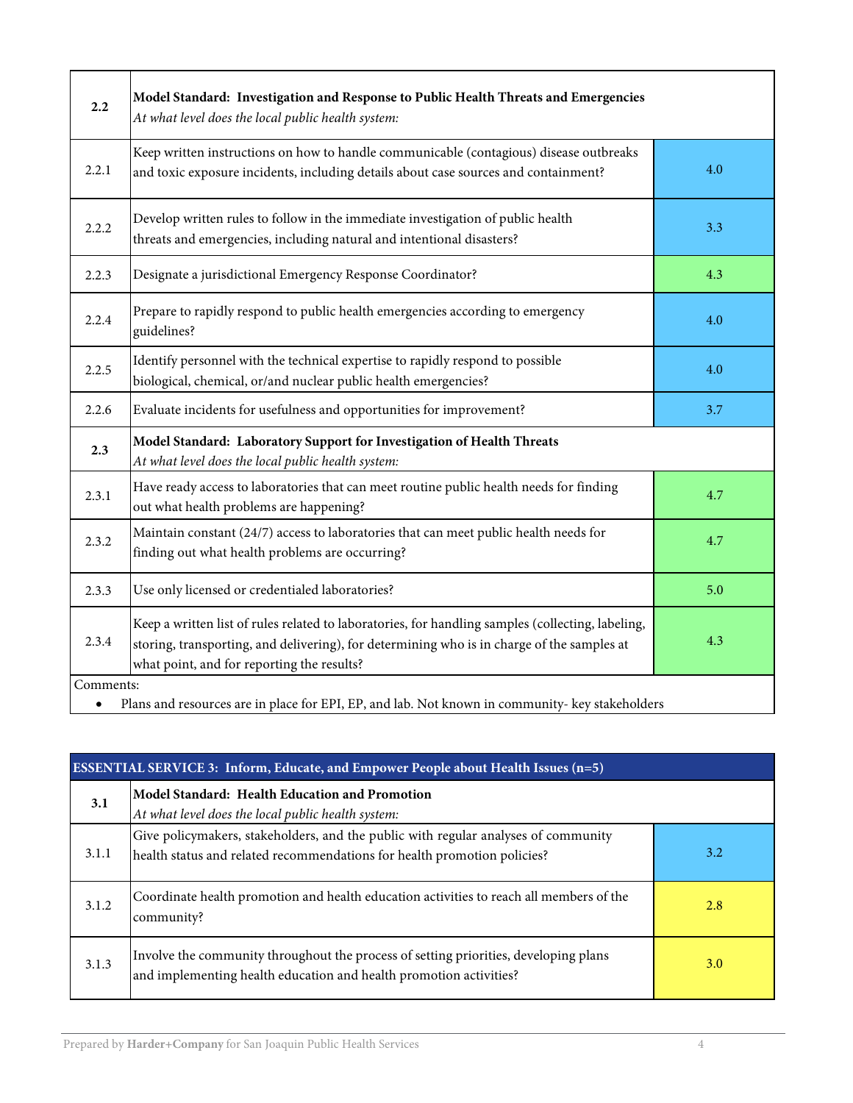| 2.2                                                                                                                                 | Model Standard: Investigation and Response to Public Health Threats and Emergencies<br>At what level does the local public health system:                                                                                                     |     |
|-------------------------------------------------------------------------------------------------------------------------------------|-----------------------------------------------------------------------------------------------------------------------------------------------------------------------------------------------------------------------------------------------|-----|
| 2.2.1                                                                                                                               | Keep written instructions on how to handle communicable (contagious) disease outbreaks<br>and toxic exposure incidents, including details about case sources and containment?                                                                 | 4.0 |
| 2.2.2                                                                                                                               | Develop written rules to follow in the immediate investigation of public health<br>threats and emergencies, including natural and intentional disasters?                                                                                      | 3.3 |
| 2.2.3                                                                                                                               | Designate a jurisdictional Emergency Response Coordinator?                                                                                                                                                                                    | 4.3 |
| 2.2.4                                                                                                                               | Prepare to rapidly respond to public health emergencies according to emergency<br>guidelines?                                                                                                                                                 | 4.0 |
| 2.2.5                                                                                                                               | Identify personnel with the technical expertise to rapidly respond to possible<br>biological, chemical, or/and nuclear public health emergencies?                                                                                             | 4.0 |
| 2.2.6                                                                                                                               | Evaluate incidents for usefulness and opportunities for improvement?                                                                                                                                                                          | 3.7 |
| Model Standard: Laboratory Support for Investigation of Health Threats<br>2.3<br>At what level does the local public health system: |                                                                                                                                                                                                                                               |     |
| 2.3.1                                                                                                                               | Have ready access to laboratories that can meet routine public health needs for finding<br>out what health problems are happening?                                                                                                            | 4.7 |
| 2.3.2                                                                                                                               | Maintain constant (24/7) access to laboratories that can meet public health needs for<br>finding out what health problems are occurring?                                                                                                      | 4.7 |
| 2.3.3                                                                                                                               | Use only licensed or credentialed laboratories?                                                                                                                                                                                               | 5.0 |
| 2.3.4                                                                                                                               | Keep a written list of rules related to laboratories, for handling samples (collecting, labeling,<br>storing, transporting, and delivering), for determining who is in charge of the samples at<br>what point, and for reporting the results? | 4.3 |
| Comments:                                                                                                                           | Plans and resources are in place for EPI, EP, and lab. Not known in community- key stakeholders                                                                                                                                               |     |

| <b>ESSENTIAL SERVICE 3: Inform, Educate, and Empower People about Health Issues <math>(n=5)</math></b> |                                                                                                                                                                |     |
|--------------------------------------------------------------------------------------------------------|----------------------------------------------------------------------------------------------------------------------------------------------------------------|-----|
| 3.1                                                                                                    | Model Standard: Health Education and Promotion<br>At what level does the local public health system:                                                           |     |
| 3.1.1                                                                                                  | Give policymakers, stakeholders, and the public with regular analyses of community<br>health status and related recommendations for health promotion policies? | 3.2 |
| 3.1.2                                                                                                  | Coordinate health promotion and health education activities to reach all members of the<br>community?                                                          | 2.8 |
| 3.1.3                                                                                                  | Involve the community throughout the process of setting priorities, developing plans<br>and implementing health education and health promotion activities?     | 3.0 |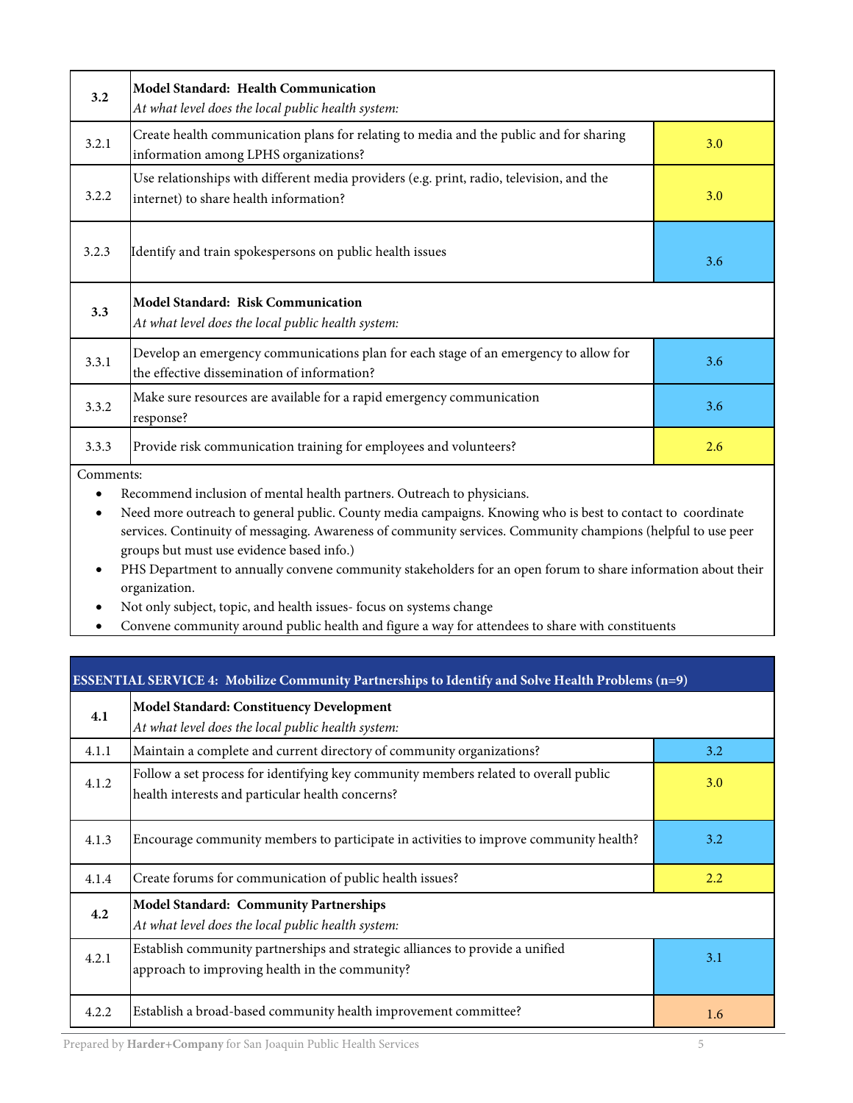| 3.2       | <b>Model Standard: Health Communication</b><br>At what level does the local public health system:                                                                                    |     |  |
|-----------|--------------------------------------------------------------------------------------------------------------------------------------------------------------------------------------|-----|--|
| 3.2.1     | Create health communication plans for relating to media and the public and for sharing<br>information among LPHS organizations?                                                      | 3.0 |  |
| 3.2.2     | Use relationships with different media providers (e.g. print, radio, television, and the<br>internet) to share health information?                                                   | 3.0 |  |
| 3.2.3     | Identify and train spokespersons on public health issues                                                                                                                             | 3.6 |  |
| 3.3       | <b>Model Standard: Risk Communication</b><br>At what level does the local public health system:                                                                                      |     |  |
| 3.3.1     | Develop an emergency communications plan for each stage of an emergency to allow for<br>the effective dissemination of information?                                                  | 3.6 |  |
| 3.3.2     | Make sure resources are available for a rapid emergency communication<br>response?                                                                                                   | 3.6 |  |
| 3.3.3     | Provide risk communication training for employees and volunteers?                                                                                                                    | 2.6 |  |
| Comments: | Recommend inclusion of mental health partners. Outreach to physicians.<br>Need more outreach to general public. County media campaigns. Knowing who is best to contact to coordinate |     |  |

 Need more outreach to general public. County media campaigns. Knowing who is best to contact to coordinate services. Continuity of messaging. Awareness of community services. Community champions (helpful to use peer groups but must use evidence based info.)

- PHS Department to annually convene community stakeholders for an open forum to share information about their organization.
- Not only subject, topic, and health issues- focus on systems change
- Convene community around public health and figure a way for attendees to share with constituents

| <b>ESSENTIAL SERVICE 4: Mobilize Community Partnerships to Identify and Solve Health Problems (n=9)</b> |                                                                                                                                          |     |  |
|---------------------------------------------------------------------------------------------------------|------------------------------------------------------------------------------------------------------------------------------------------|-----|--|
| 4.1                                                                                                     | Model Standard: Constituency Development<br>At what level does the local public health system:                                           |     |  |
| 4.1.1                                                                                                   | Maintain a complete and current directory of community organizations?                                                                    | 3.2 |  |
| 4.1.2                                                                                                   | Follow a set process for identifying key community members related to overall public<br>health interests and particular health concerns? | 3.0 |  |
| 4.1.3                                                                                                   | Encourage community members to participate in activities to improve community health?                                                    | 3.2 |  |
| 4.1.4                                                                                                   | Create forums for communication of public health issues?                                                                                 | 2.2 |  |
| 4.2                                                                                                     | <b>Model Standard: Community Partnerships</b><br>At what level does the local public health system:                                      |     |  |
| 4.2.1                                                                                                   | Establish community partnerships and strategic alliances to provide a unified<br>approach to improving health in the community?          | 3.1 |  |
| 4.2.2                                                                                                   | Establish a broad-based community health improvement committee?                                                                          | 1.6 |  |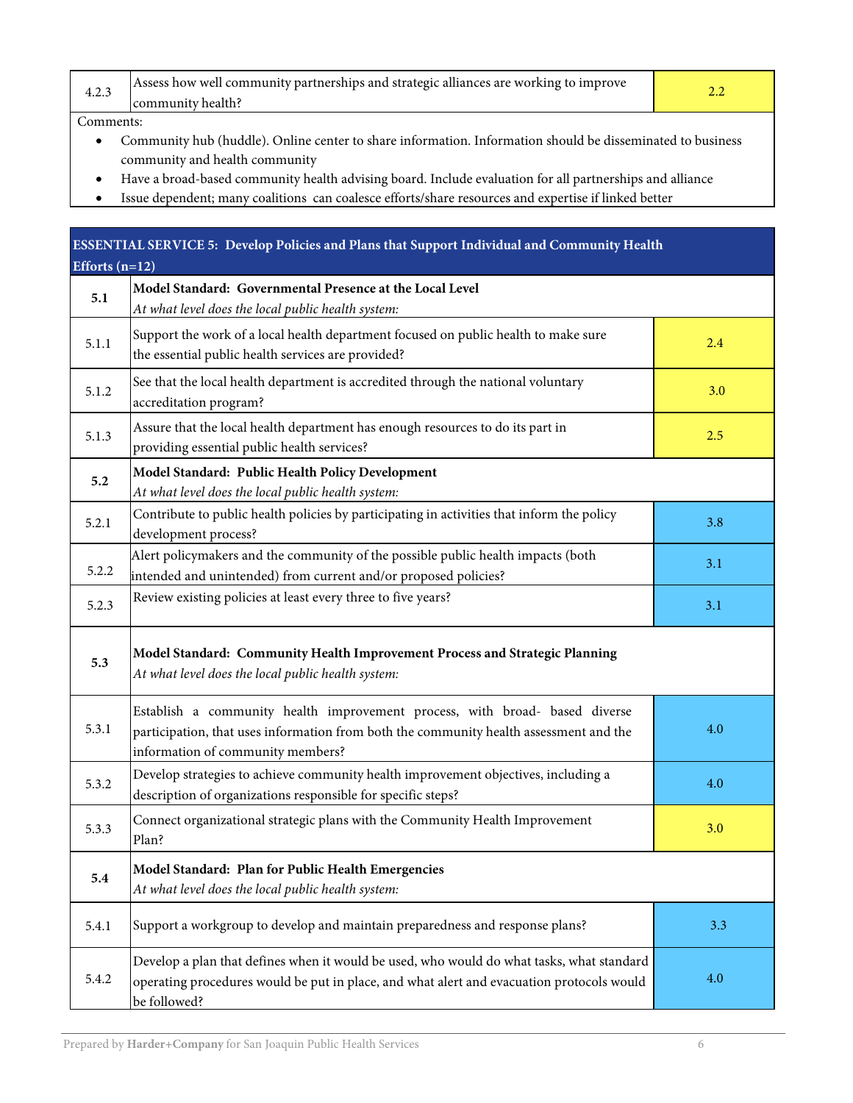| 4.2 | Assess how well community partnerships and strategic alliances are working to improve<br>community health? |  |
|-----|------------------------------------------------------------------------------------------------------------|--|
|     |                                                                                                            |  |

Comments:

- Community hub (huddle). Online center to share information. Information should be disseminated to business community and health community
- Have a broad-based community health advising board. Include evaluation for all partnerships and alliance
- Issue dependent; many coalitions can coalesce efforts/share resources and expertise if linked better

| <b>ESSENTIAL SERVICE 5: Develop Policies and Plans that Support Individual and Community Health</b><br>Efforts $(n=12)$ |                                                                                                                                                                                                            |     |
|-------------------------------------------------------------------------------------------------------------------------|------------------------------------------------------------------------------------------------------------------------------------------------------------------------------------------------------------|-----|
| 5.1                                                                                                                     | Model Standard: Governmental Presence at the Local Level<br>At what level does the local public health system:                                                                                             |     |
| 5.1.1                                                                                                                   | Support the work of a local health department focused on public health to make sure<br>the essential public health services are provided?                                                                  | 2.4 |
| 5.1.2                                                                                                                   | See that the local health department is accredited through the national voluntary<br>accreditation program?                                                                                                | 3.0 |
| 5.1.3                                                                                                                   | Assure that the local health department has enough resources to do its part in<br>providing essential public health services?                                                                              | 2.5 |
| 5.2                                                                                                                     | Model Standard: Public Health Policy Development<br>At what level does the local public health system:                                                                                                     |     |
| 5.2.1                                                                                                                   | Contribute to public health policies by participating in activities that inform the policy<br>development process?                                                                                         | 3.8 |
| 5.2.2                                                                                                                   | Alert policymakers and the community of the possible public health impacts (both<br>intended and unintended) from current and/or proposed policies?                                                        | 3.1 |
| 5.2.3                                                                                                                   | Review existing policies at least every three to five years?                                                                                                                                               | 3.1 |
| 5.3                                                                                                                     | Model Standard: Community Health Improvement Process and Strategic Planning<br>At what level does the local public health system:                                                                          |     |
| 5.3.1                                                                                                                   | Establish a community health improvement process, with broad- based diverse<br>participation, that uses information from both the community health assessment and the<br>information of community members? | 4.0 |
| 5.3.2                                                                                                                   | Develop strategies to achieve community health improvement objectives, including a<br>description of organizations responsible for specific steps?                                                         | 4.0 |
| 5.3.3                                                                                                                   | Connect organizational strategic plans with the Community Health Improvement<br>Plan?                                                                                                                      | 3.0 |
| 5.4                                                                                                                     | Model Standard: Plan for Public Health Emergencies<br>At what level does the local public health system:                                                                                                   |     |
| 5.4.1                                                                                                                   | Support a workgroup to develop and maintain preparedness and response plans?                                                                                                                               | 3.3 |
| 5.4.2                                                                                                                   | Develop a plan that defines when it would be used, who would do what tasks, what standard<br>operating procedures would be put in place, and what alert and evacuation protocols would<br>be followed?     | 4.0 |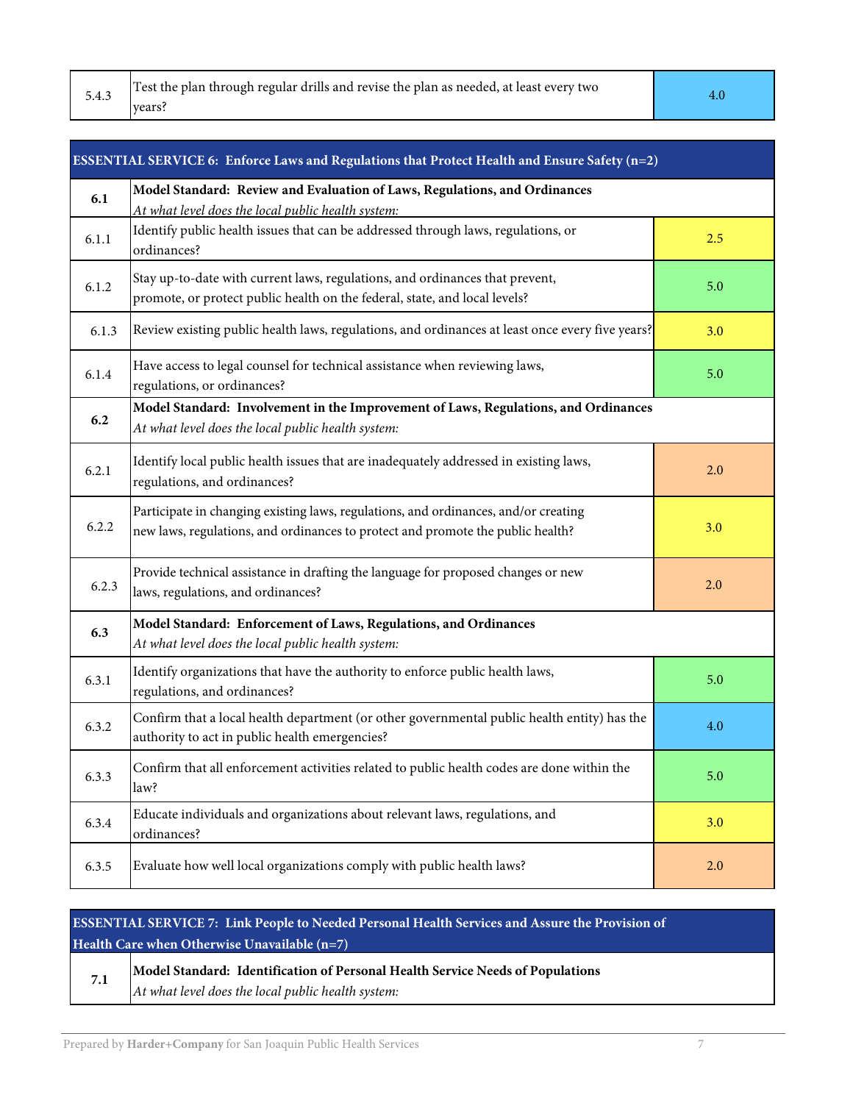| 5.4.3 | Test the plan through regular drills and revise the plan as needed, at least every two<br>vears? |  |
|-------|--------------------------------------------------------------------------------------------------|--|
|-------|--------------------------------------------------------------------------------------------------|--|

| <b>Service Service</b> |   |    |  |
|------------------------|---|----|--|
|                        |   |    |  |
|                        |   |    |  |
|                        | ٠ | ۰. |  |

| ESSENTIAL SERVICE 6: Enforce Laws and Regulations that Protect Health and Ensure Safety (n=2) |                                                                                                                                                                        |     |
|-----------------------------------------------------------------------------------------------|------------------------------------------------------------------------------------------------------------------------------------------------------------------------|-----|
| 6.1                                                                                           | Model Standard: Review and Evaluation of Laws, Regulations, and Ordinances<br>At what level does the local public health system:                                       |     |
| 6.1.1                                                                                         | Identify public health issues that can be addressed through laws, regulations, or<br>ordinances?                                                                       | 2.5 |
| 6.1.2                                                                                         | Stay up-to-date with current laws, regulations, and ordinances that prevent,<br>promote, or protect public health on the federal, state, and local levels?             | 5.0 |
| 6.1.3                                                                                         | Review existing public health laws, regulations, and ordinances at least once every five years?                                                                        | 3.0 |
| 6.1.4                                                                                         | Have access to legal counsel for technical assistance when reviewing laws,<br>regulations, or ordinances?                                                              | 5.0 |
| 6.2                                                                                           | Model Standard: Involvement in the Improvement of Laws, Regulations, and Ordinances<br>At what level does the local public health system:                              |     |
| 6.2.1                                                                                         | Identify local public health issues that are inadequately addressed in existing laws,<br>regulations, and ordinances?                                                  | 2.0 |
| 6.2.2                                                                                         | Participate in changing existing laws, regulations, and ordinances, and/or creating<br>new laws, regulations, and ordinances to protect and promote the public health? | 3.0 |
| 6.2.3                                                                                         | Provide technical assistance in drafting the language for proposed changes or new<br>laws, regulations, and ordinances?                                                | 2.0 |
| 6.3                                                                                           | Model Standard: Enforcement of Laws, Regulations, and Ordinances<br>At what level does the local public health system:                                                 |     |
| 6.3.1                                                                                         | Identify organizations that have the authority to enforce public health laws,<br>regulations, and ordinances?                                                          | 5.0 |
| 6.3.2                                                                                         | Confirm that a local health department (or other governmental public health entity) has the<br>authority to act in public health emergencies?                          | 4.0 |
| 6.3.3                                                                                         | Confirm that all enforcement activities related to public health codes are done within the<br>law?                                                                     | 5.0 |
| 6.3.4                                                                                         | Educate individuals and organizations about relevant laws, regulations, and<br>ordinances?                                                                             | 3.0 |
| 6.3.5                                                                                         | Evaluate how well local organizations comply with public health laws?                                                                                                  | 2.0 |

# **ESSENTIAL SERVICE 7: Link People to Needed Personal Health Services and Assure the Provision of Health Care when Otherwise Unavailable (n=7)**

| 7.1 | Model Standard: Identification of Personal Health Service Needs of Populations |
|-----|--------------------------------------------------------------------------------|
|     | At what level does the local public health system:                             |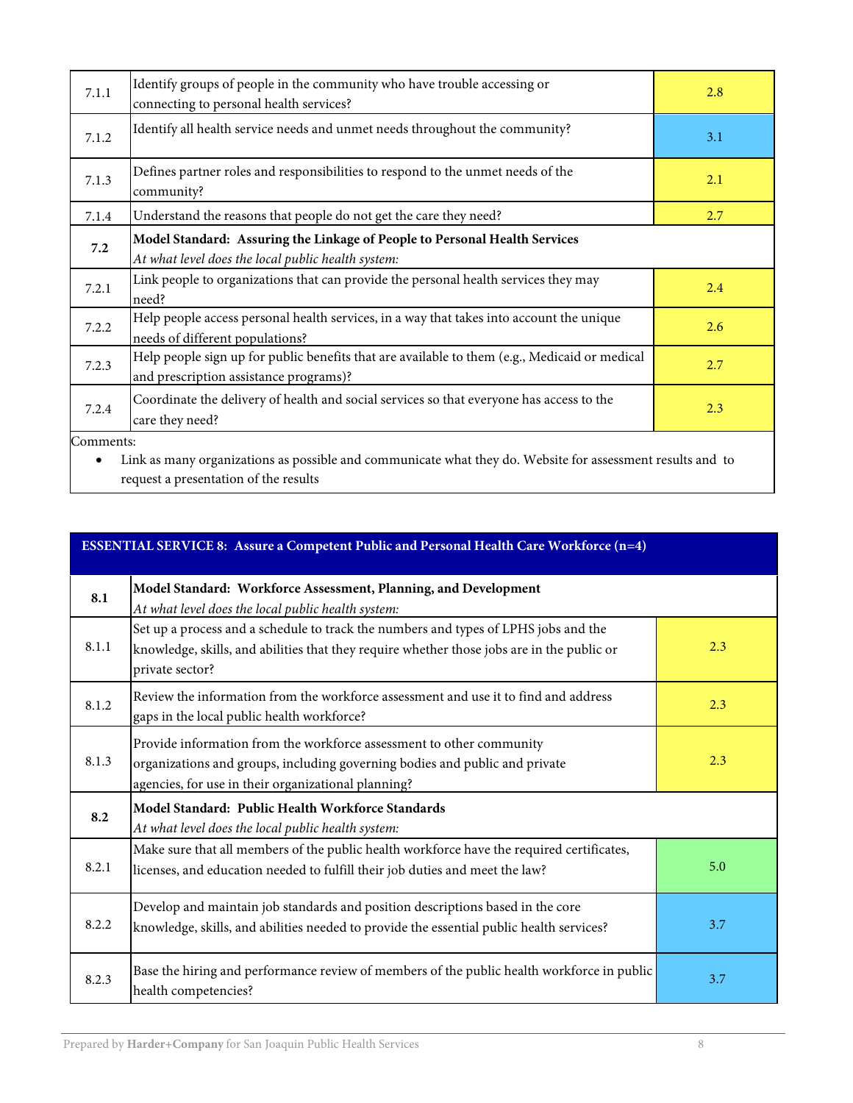| 7.1.1                                                                                                                   | Identify groups of people in the community who have trouble accessing or<br>connecting to personal health services?                     | 2.8 |
|-------------------------------------------------------------------------------------------------------------------------|-----------------------------------------------------------------------------------------------------------------------------------------|-----|
| 7.1.2                                                                                                                   | Identify all health service needs and unmet needs throughout the community?                                                             | 3.1 |
| 7.1.3                                                                                                                   | Defines partner roles and responsibilities to respond to the unmet needs of the<br>community?                                           | 2.1 |
| 7.1.4                                                                                                                   | Understand the reasons that people do not get the care they need?                                                                       | 2.7 |
| 7.2                                                                                                                     | Model Standard: Assuring the Linkage of People to Personal Health Services<br>At what level does the local public health system:        |     |
| 7.2.1                                                                                                                   | Link people to organizations that can provide the personal health services they may<br>need?                                            | 2.4 |
| 7.2.2                                                                                                                   | Help people access personal health services, in a way that takes into account the unique<br>needs of different populations?             | 2.6 |
| 7.2.3                                                                                                                   | Help people sign up for public benefits that are available to them (e.g., Medicaid or medical<br>and prescription assistance programs)? | 2.7 |
| 7.2.4                                                                                                                   | Coordinate the delivery of health and social services so that everyone has access to the<br>care they need?                             | 2.3 |
| Comments:<br>Link as many organizations as possible and communicate what they do. Website for assessment results and to |                                                                                                                                         |     |

request a presentation of the results

| <b>ESSENTIAL SERVICE 8: Assure a Competent Public and Personal Health Care Workforce (n=4)</b> |                                                                                                                                                                                                            |     |
|------------------------------------------------------------------------------------------------|------------------------------------------------------------------------------------------------------------------------------------------------------------------------------------------------------------|-----|
| 8.1                                                                                            | Model Standard: Workforce Assessment, Planning, and Development<br>At what level does the local public health system:                                                                                      |     |
| 8.1.1                                                                                          | Set up a process and a schedule to track the numbers and types of LPHS jobs and the<br>knowledge, skills, and abilities that they require whether those jobs are in the public or<br>private sector?       | 2.3 |
| 8.1.2                                                                                          | Review the information from the workforce assessment and use it to find and address<br>gaps in the local public health workforce?                                                                          | 2.3 |
| 8.1.3                                                                                          | Provide information from the workforce assessment to other community<br>organizations and groups, including governing bodies and public and private<br>agencies, for use in their organizational planning? | 2.3 |
| 8.2                                                                                            | Model Standard: Public Health Workforce Standards<br>At what level does the local public health system:                                                                                                    |     |
| 8.2.1                                                                                          | Make sure that all members of the public health workforce have the required certificates,<br>licenses, and education needed to fulfill their job duties and meet the law?                                  | 5.0 |
| 8.2.2                                                                                          | Develop and maintain job standards and position descriptions based in the core<br>knowledge, skills, and abilities needed to provide the essential public health services?                                 | 3.7 |
| 8.2.3                                                                                          | Base the hiring and performance review of members of the public health workforce in public<br>health competencies?                                                                                         | 3.7 |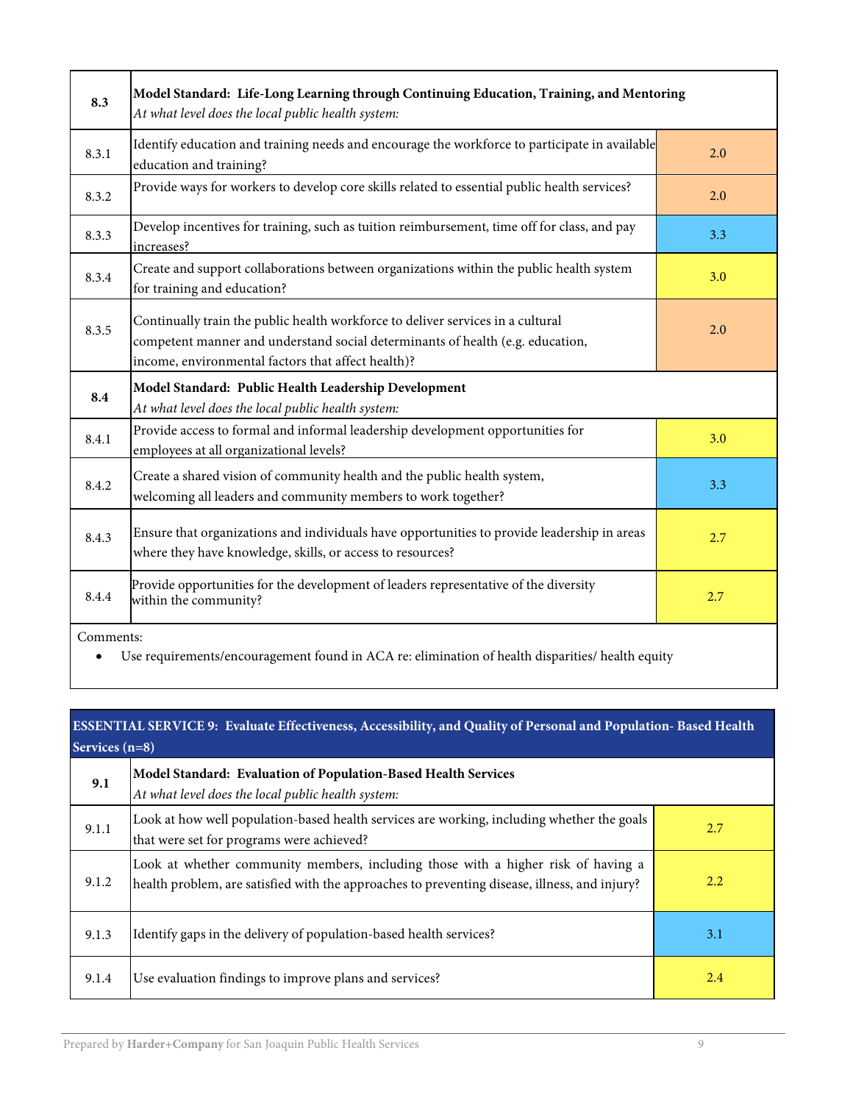| 8.3                                                                                                           | Model Standard: Life-Long Learning through Continuing Education, Training, and Mentoring<br>At what level does the local public health system:                                                                          |     |
|---------------------------------------------------------------------------------------------------------------|-------------------------------------------------------------------------------------------------------------------------------------------------------------------------------------------------------------------------|-----|
| 8.3.1                                                                                                         | Identify education and training needs and encourage the workforce to participate in available<br>education and training?                                                                                                | 2.0 |
| 8.3.2                                                                                                         | Provide ways for workers to develop core skills related to essential public health services?                                                                                                                            | 2.0 |
| 8.3.3                                                                                                         | Develop incentives for training, such as tuition reimbursement, time off for class, and pay<br>increases?                                                                                                               | 3.3 |
| 8.3.4                                                                                                         | Create and support collaborations between organizations within the public health system<br>for training and education?                                                                                                  | 3.0 |
| 8.3.5                                                                                                         | Continually train the public health workforce to deliver services in a cultural<br>competent manner and understand social determinants of health (e.g. education,<br>income, environmental factors that affect health)? | 2.0 |
| 8.4                                                                                                           | Model Standard: Public Health Leadership Development<br>At what level does the local public health system:                                                                                                              |     |
| 8.4.1                                                                                                         | Provide access to formal and informal leadership development opportunities for<br>employees at all organizational levels?                                                                                               | 3.0 |
| 8.4.2                                                                                                         | Create a shared vision of community health and the public health system,<br>welcoming all leaders and community members to work together?                                                                               | 3.3 |
| 8.4.3                                                                                                         | Ensure that organizations and individuals have opportunities to provide leadership in areas<br>where they have knowledge, skills, or access to resources?                                                               | 2.7 |
| 8.4.4                                                                                                         | Provide opportunities for the development of leaders representative of the diversity<br>within the community?                                                                                                           | 2.7 |
| Comments:<br>Use requirements/encouragement found in ACA re: elimination of health disparities/ health equity |                                                                                                                                                                                                                         |     |

# **ESSENTIAL SERVICE 9: Evaluate Effectiveness, Accessibility, and Quality of Personal and Population- Based Health Services (n=8)**

| 9.1   | Model Standard: Evaluation of Population-Based Health Services<br>At what level does the local public health system:                                                               |     |
|-------|------------------------------------------------------------------------------------------------------------------------------------------------------------------------------------|-----|
| 9.1.1 | Look at how well population-based health services are working, including whether the goals<br>that were set for programs were achieved?                                            | 2.7 |
| 9.1.2 | Look at whether community members, including those with a higher risk of having a<br>health problem, are satisfied with the approaches to preventing disease, illness, and injury? | 2.2 |
| 9.1.3 | Identify gaps in the delivery of population-based health services?                                                                                                                 | 3.1 |
| 9.1.4 | Use evaluation findings to improve plans and services?                                                                                                                             | 2.4 |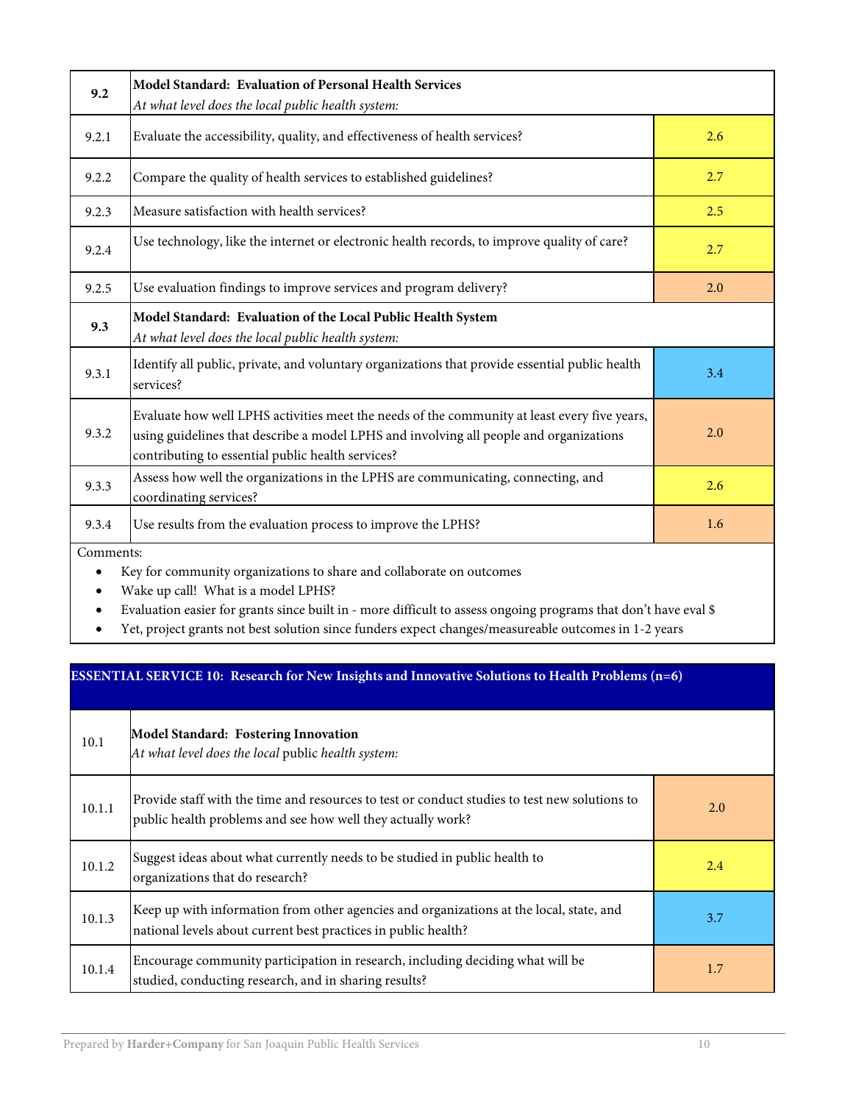| 9.2                                                                                                                                                              | Model Standard: Evaluation of Personal Health Services<br>At what level does the local public health system:                                                                                                                                |     |
|------------------------------------------------------------------------------------------------------------------------------------------------------------------|---------------------------------------------------------------------------------------------------------------------------------------------------------------------------------------------------------------------------------------------|-----|
| 9.2.1                                                                                                                                                            | Evaluate the accessibility, quality, and effectiveness of health services?                                                                                                                                                                  | 2.6 |
| 9.2.2                                                                                                                                                            | Compare the quality of health services to established guidelines?                                                                                                                                                                           | 2.7 |
| 9.2.3                                                                                                                                                            | Measure satisfaction with health services?                                                                                                                                                                                                  | 2.5 |
| 9.2.4                                                                                                                                                            | Use technology, like the internet or electronic health records, to improve quality of care?                                                                                                                                                 | 2.7 |
| 9.2.5                                                                                                                                                            | Use evaluation findings to improve services and program delivery?                                                                                                                                                                           | 2.0 |
| 9.3                                                                                                                                                              | Model Standard: Evaluation of the Local Public Health System<br>At what level does the local public health system:                                                                                                                          |     |
| 9.3.1                                                                                                                                                            | Identify all public, private, and voluntary organizations that provide essential public health<br>services?                                                                                                                                 | 3.4 |
| 9.3.2                                                                                                                                                            | Evaluate how well LPHS activities meet the needs of the community at least every five years,<br>using guidelines that describe a model LPHS and involving all people and organizations<br>contributing to essential public health services? | 2.0 |
| 9.3.3                                                                                                                                                            | Assess how well the organizations in the LPHS are communicating, connecting, and<br>coordinating services?                                                                                                                                  | 2.6 |
| 9.3.4                                                                                                                                                            | Use results from the evaluation process to improve the LPHS?                                                                                                                                                                                | 1.6 |
| Comments:<br>Key for community organizations to share and collaborate on outcomes<br>Wake up call! What is a model LPHS?<br>$1.00 \pm 1.$<br>$-1$ $-1$ $-2$ $-1$ |                                                                                                                                                                                                                                             |     |

Evaluation easier for grants since built in - more difficult to assess ongoing programs that don't have eval \$

Yet, project grants not best solution since funders expect changes/measureable outcomes in 1-2 years

# **ESSENTIAL SERVICE 10: Research for New Insights and Innovative Solutions to Health Problems (n=6)**

| 10.1   | Model Standard: Fostering Innovation<br>At what level does the local public health system:                                                                   |     |
|--------|--------------------------------------------------------------------------------------------------------------------------------------------------------------|-----|
| 10.1.1 | Provide staff with the time and resources to test or conduct studies to test new solutions to<br>public health problems and see how well they actually work? | 2.0 |
| 10.1.2 | Suggest ideas about what currently needs to be studied in public health to<br>organizations that do research?                                                | 2.4 |
| 10.1.3 | Keep up with information from other agencies and organizations at the local, state, and<br>national levels about current best practices in public health?    | 3.7 |
| 10.1.4 | Encourage community participation in research, including deciding what will be<br>studied, conducting research, and in sharing results?                      | 1.7 |